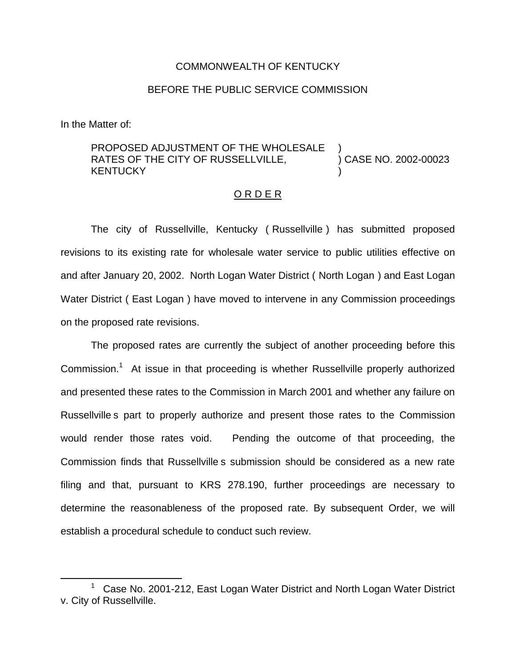### COMMONWEALTH OF KENTUCKY

## BEFORE THE PUBLIC SERVICE COMMISSION

In the Matter of:

#### PROPOSED ADJUSTMENT OF THE WHOLESALE RATES OF THE CITY OF RUSSELLVILLE, **KENTUCKY** ) ) CASE NO. 2002-00023 )

## O R D E R

The city of Russellville, Kentucky ( Russellville ) has submitted proposed revisions to its existing rate for wholesale water service to public utilities effective on and after January 20, 2002. North Logan Water District ( North Logan ) and East Logan Water District ( East Logan ) have moved to intervene in any Commission proceedings on the proposed rate revisions.

The proposed rates are currently the subject of another proceeding before this Commission.<sup>1</sup> At issue in that proceeding is whether Russellville properly authorized and presented these rates to the Commission in March 2001 and whether any failure on Russellville s part to properly authorize and present those rates to the Commission would render those rates void. Pending the outcome of that proceeding, the Commission finds that Russellville s submission should be considered as a new rate filing and that, pursuant to KRS 278.190, further proceedings are necessary to determine the reasonableness of the proposed rate. By subsequent Order, we will establish a procedural schedule to conduct such review.

 $1$  Case No. 2001-212, East Logan Water District and North Logan Water District v. City of Russellville.